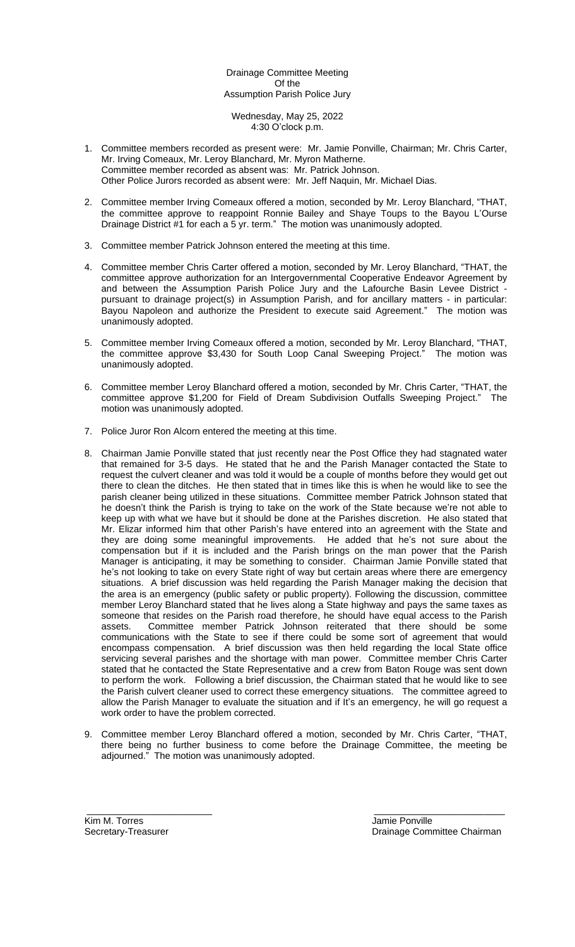# Drainage Committee Meeting Of the Assumption Parish Police Jury

Wednesday, May 25, 2022 4:30 O'clock p.m.

- 1. Committee members recorded as present were: Mr. Jamie Ponville, Chairman; Mr. Chris Carter, Mr. Irving Comeaux, Mr. Leroy Blanchard, Mr. Myron Matherne. Committee member recorded as absent was: Mr. Patrick Johnson. Other Police Jurors recorded as absent were: Mr. Jeff Naquin, Mr. Michael Dias.
- 2. Committee member Irving Comeaux offered a motion, seconded by Mr. Leroy Blanchard, "THAT, the committee approve to reappoint Ronnie Bailey and Shaye Toups to the Bayou L'Ourse Drainage District #1 for each a 5 yr. term." The motion was unanimously adopted.
- 3. Committee member Patrick Johnson entered the meeting at this time.
- 4. Committee member Chris Carter offered a motion, seconded by Mr. Leroy Blanchard, "THAT, the committee approve authorization for an Intergovernmental Cooperative Endeavor Agreement by and between the Assumption Parish Police Jury and the Lafourche Basin Levee District pursuant to drainage project(s) in Assumption Parish, and for ancillary matters - in particular: Bayou Napoleon and authorize the President to execute said Agreement." The motion was unanimously adopted.
- 5. Committee member Irving Comeaux offered a motion, seconded by Mr. Leroy Blanchard, "THAT, the committee approve \$3,430 for South Loop Canal Sweeping Project." The motion was unanimously adopted.
- 6. Committee member Leroy Blanchard offered a motion, seconded by Mr. Chris Carter, "THAT, the committee approve \$1,200 for Field of Dream Subdivision Outfalls Sweeping Project." The motion was unanimously adopted.
- 7. Police Juror Ron Alcorn entered the meeting at this time.
- 8. Chairman Jamie Ponville stated that just recently near the Post Office they had stagnated water that remained for 3-5 days. He stated that he and the Parish Manager contacted the State to request the culvert cleaner and was told it would be a couple of months before they would get out there to clean the ditches. He then stated that in times like this is when he would like to see the parish cleaner being utilized in these situations. Committee member Patrick Johnson stated that he doesn't think the Parish is trying to take on the work of the State because we're not able to keep up with what we have but it should be done at the Parishes discretion. He also stated that Mr. Elizar informed him that other Parish's have entered into an agreement with the State and they are doing some meaningful improvements. He added that he's not sure about the compensation but if it is included and the Parish brings on the man power that the Parish Manager is anticipating, it may be something to consider. Chairman Jamie Ponville stated that he's not looking to take on every State right of way but certain areas where there are emergency situations. A brief discussion was held regarding the Parish Manager making the decision that the area is an emergency (public safety or public property). Following the discussion, committee member Leroy Blanchard stated that he lives along a State highway and pays the same taxes as someone that resides on the Parish road therefore, he should have equal access to the Parish assets. Committee member Patrick Johnson reiterated that there should be some communications with the State to see if there could be some sort of agreement that would encompass compensation. A brief discussion was then held regarding the local State office servicing several parishes and the shortage with man power. Committee member Chris Carter stated that he contacted the State Representative and a crew from Baton Rouge was sent down to perform the work. Following a brief discussion, the Chairman stated that he would like to see the Parish culvert cleaner used to correct these emergency situations. The committee agreed to allow the Parish Manager to evaluate the situation and if It's an emergency, he will go request a work order to have the problem corrected.
- 9. Committee member Leroy Blanchard offered a motion, seconded by Mr. Chris Carter, "THAT, there being no further business to come before the Drainage Committee, the meeting be adjourned." The motion was unanimously adopted.

\_\_\_\_\_\_\_\_\_\_\_\_\_\_\_\_\_\_\_\_\_\_\_\_ \_\_\_\_\_\_\_\_\_\_\_\_\_\_\_\_\_\_\_\_\_\_\_\_\_

Kim M. Torres (1999)<br>
Secretary-Treasurer (1999)<br>
Secretary-Treasurer (1999)

Drainage Committee Chairman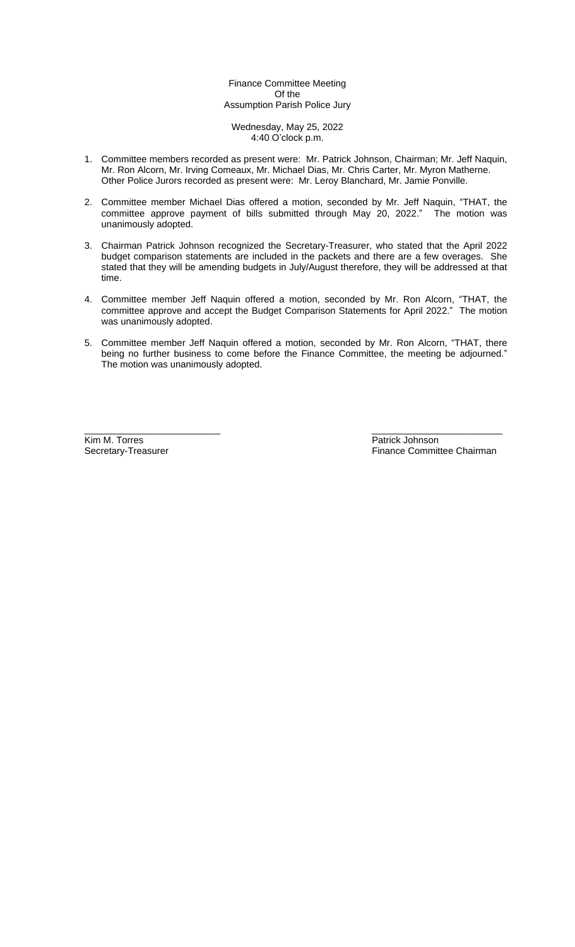# Finance Committee Meeting Of the Assumption Parish Police Jury

Wednesday, May 25, 2022 4:40 O'clock p.m.

- 1. Committee members recorded as present were: Mr. Patrick Johnson, Chairman; Mr. Jeff Naquin, Mr. Ron Alcorn, Mr. Irving Comeaux, Mr. Michael Dias, Mr. Chris Carter, Mr. Myron Matherne. Other Police Jurors recorded as present were: Mr. Leroy Blanchard, Mr. Jamie Ponville.
- 2. Committee member Michael Dias offered a motion, seconded by Mr. Jeff Naquin, "THAT, the committee approve payment of bills submitted through May 20, 2022." The motion was unanimously adopted.
- 3. Chairman Patrick Johnson recognized the Secretary-Treasurer, who stated that the April 2022 budget comparison statements are included in the packets and there are a few overages. She stated that they will be amending budgets in July/August therefore, they will be addressed at that time.
- 4. Committee member Jeff Naquin offered a motion, seconded by Mr. Ron Alcorn, "THAT, the committee approve and accept the Budget Comparison Statements for April 2022." The motion was unanimously adopted.
- 5. Committee member Jeff Naquin offered a motion, seconded by Mr. Ron Alcorn, "THAT, there being no further business to come before the Finance Committee, the meeting be adjourned." The motion was unanimously adopted.

\_\_\_\_\_\_\_\_\_\_\_\_\_\_\_\_\_\_\_\_\_\_\_\_\_\_ \_\_\_\_\_\_\_\_\_\_\_\_\_\_\_\_\_\_\_\_\_\_\_\_\_ Kim M. Torres **Example 2018** Secretary-Treasurer **Patrick Johnson**<br>
Secretary-Treasurer **Patrick Johnson**<br>
Pinance Commit

Finance Committee Chairman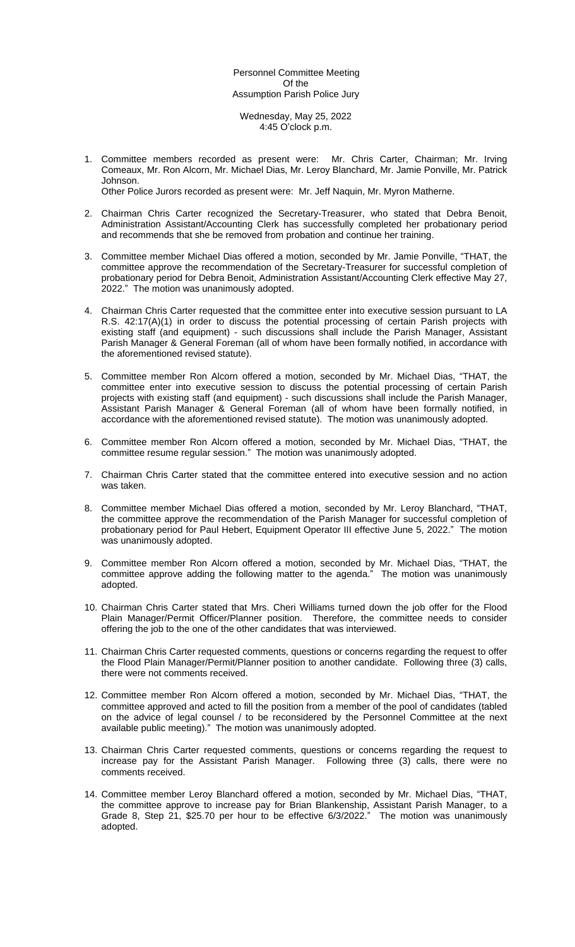Personnel Committee Meeting Of the Assumption Parish Police Jury

Wednesday, May 25, 2022 4:45 O'clock p.m.

1. Committee members recorded as present were: Mr. Chris Carter, Chairman; Mr. Irving Comeaux, Mr. Ron Alcorn, Mr. Michael Dias, Mr. Leroy Blanchard, Mr. Jamie Ponville, Mr. Patrick Johnson.

Other Police Jurors recorded as present were: Mr. Jeff Naquin, Mr. Myron Matherne.

- 2. Chairman Chris Carter recognized the Secretary-Treasurer, who stated that Debra Benoit, Administration Assistant/Accounting Clerk has successfully completed her probationary period and recommends that she be removed from probation and continue her training.
- 3. Committee member Michael Dias offered a motion, seconded by Mr. Jamie Ponville, "THAT, the committee approve the recommendation of the Secretary-Treasurer for successful completion of probationary period for Debra Benoit, Administration Assistant/Accounting Clerk effective May 27, 2022." The motion was unanimously adopted.
- 4. Chairman Chris Carter requested that the committee enter into executive session pursuant to LA R.S. 42:17(A)(1) in order to discuss the potential processing of certain Parish projects with existing staff (and equipment) - such discussions shall include the Parish Manager, Assistant Parish Manager & General Foreman (all of whom have been formally notified, in accordance with the aforementioned revised statute).
- 5. Committee member Ron Alcorn offered a motion, seconded by Mr. Michael Dias, "THAT, the committee enter into executive session to discuss the potential processing of certain Parish projects with existing staff (and equipment) - such discussions shall include the Parish Manager, Assistant Parish Manager & General Foreman (all of whom have been formally notified, in accordance with the aforementioned revised statute). The motion was unanimously adopted.
- 6. Committee member Ron Alcorn offered a motion, seconded by Mr. Michael Dias, "THAT, the committee resume regular session." The motion was unanimously adopted.
- 7. Chairman Chris Carter stated that the committee entered into executive session and no action was taken.
- 8. Committee member Michael Dias offered a motion, seconded by Mr. Leroy Blanchard, "THAT, the committee approve the recommendation of the Parish Manager for successful completion of probationary period for Paul Hebert, Equipment Operator III effective June 5, 2022." The motion was unanimously adopted.
- 9. Committee member Ron Alcorn offered a motion, seconded by Mr. Michael Dias, "THAT, the committee approve adding the following matter to the agenda." The motion was unanimously adopted.
- 10. Chairman Chris Carter stated that Mrs. Cheri Williams turned down the job offer for the Flood Plain Manager/Permit Officer/Planner position. Therefore, the committee needs to consider offering the job to the one of the other candidates that was interviewed.
- 11. Chairman Chris Carter requested comments, questions or concerns regarding the request to offer the Flood Plain Manager/Permit/Planner position to another candidate. Following three (3) calls, there were not comments received.
- 12. Committee member Ron Alcorn offered a motion, seconded by Mr. Michael Dias, "THAT, the committee approved and acted to fill the position from a member of the pool of candidates (tabled on the advice of legal counsel / to be reconsidered by the Personnel Committee at the next available public meeting)." The motion was unanimously adopted.
- 13. Chairman Chris Carter requested comments, questions or concerns regarding the request to increase pay for the Assistant Parish Manager. Following three (3) calls, there were no comments received.
- 14. Committee member Leroy Blanchard offered a motion, seconded by Mr. Michael Dias, "THAT, the committee approve to increase pay for Brian Blankenship, Assistant Parish Manager, to a Grade 8, Step 21, \$25.70 per hour to be effective 6/3/2022." The motion was unanimously adopted.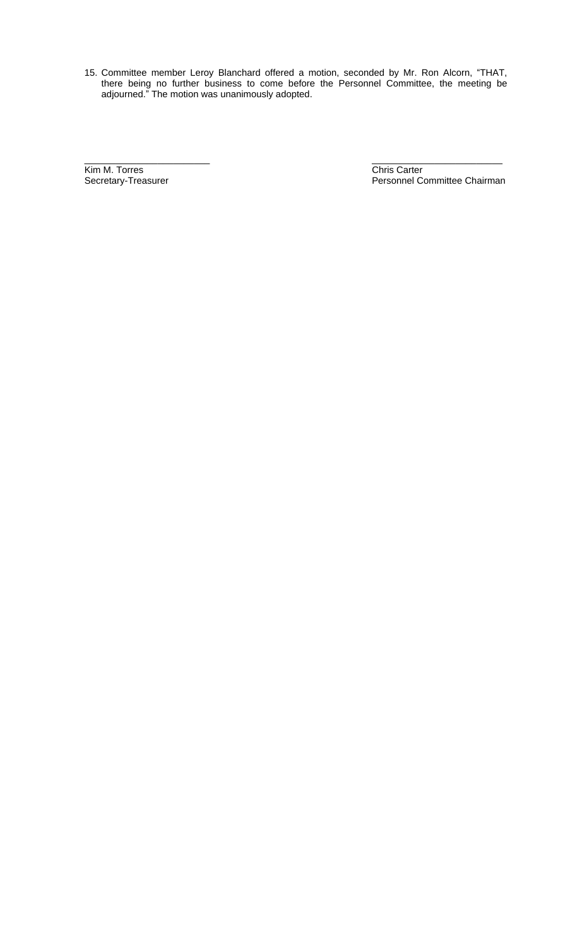15. Committee member Leroy Blanchard offered a motion, seconded by Mr. Ron Alcorn, "THAT, there being no further business to come before the Personnel Committee, the meeting be adjourned." The motion was unanimously adopted.

\_\_\_\_\_\_\_\_\_\_\_\_\_\_\_\_\_\_\_\_\_\_\_\_ \_\_\_\_\_\_\_\_\_\_\_\_\_\_\_\_\_\_\_\_\_\_\_\_\_ **Kim M. Torres** Chris Carter Chris Carter Chris Carter Chris Carter Chris Carter Chris Carter Chris Carter Chris Carter Chris Carter Chris Carter Chris Carter Chris Carter Chris Carter Chris Carter Chris Carter Chris Carte

Personnel Committee Chairman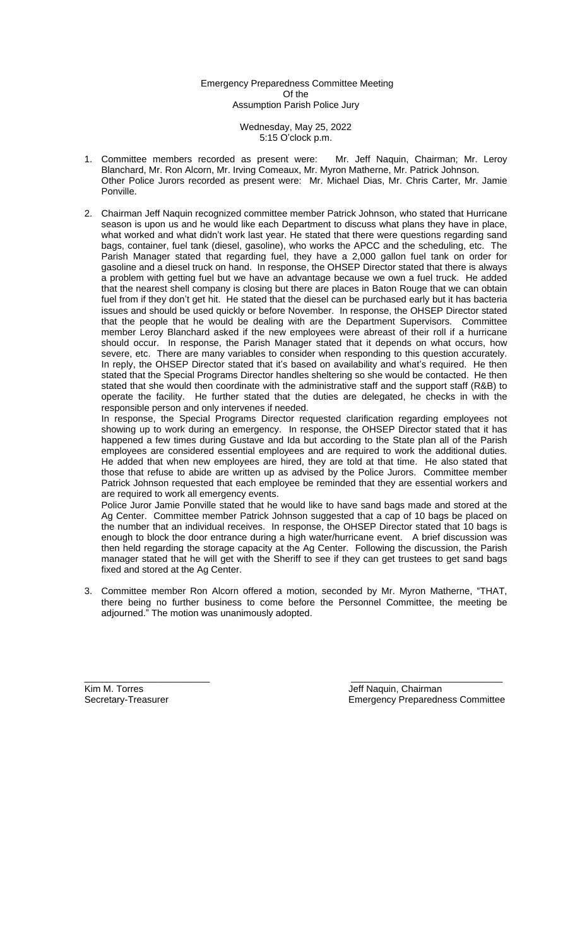Emergency Preparedness Committee Meeting Of the Assumption Parish Police Jury

> Wednesday, May 25, 2022 5:15 O'clock p.m.

- 1. Committee members recorded as present were: Mr. Jeff Naquin, Chairman; Mr. Leroy Blanchard, Mr. Ron Alcorn, Mr. Irving Comeaux, Mr. Myron Matherne, Mr. Patrick Johnson. Other Police Jurors recorded as present were: Mr. Michael Dias, Mr. Chris Carter, Mr. Jamie Ponville.
- 2. Chairman Jeff Naquin recognized committee member Patrick Johnson, who stated that Hurricane season is upon us and he would like each Department to discuss what plans they have in place, what worked and what didn't work last year. He stated that there were questions regarding sand bags, container, fuel tank (diesel, gasoline), who works the APCC and the scheduling, etc. The Parish Manager stated that regarding fuel, they have a 2,000 gallon fuel tank on order for gasoline and a diesel truck on hand. In response, the OHSEP Director stated that there is always a problem with getting fuel but we have an advantage because we own a fuel truck. He added that the nearest shell company is closing but there are places in Baton Rouge that we can obtain fuel from if they don't get hit. He stated that the diesel can be purchased early but it has bacteria issues and should be used quickly or before November. In response, the OHSEP Director stated that the people that he would be dealing with are the Department Supervisors. Committee member Leroy Blanchard asked if the new employees were abreast of their roll if a hurricane should occur. In response, the Parish Manager stated that it depends on what occurs, how severe, etc. There are many variables to consider when responding to this question accurately. In reply, the OHSEP Director stated that it's based on availability and what's required. He then stated that the Special Programs Director handles sheltering so she would be contacted. He then stated that she would then coordinate with the administrative staff and the support staff (R&B) to operate the facility. He further stated that the duties are delegated, he checks in with the responsible person and only intervenes if needed.

In response, the Special Programs Director requested clarification regarding employees not showing up to work during an emergency. In response, the OHSEP Director stated that it has happened a few times during Gustave and Ida but according to the State plan all of the Parish employees are considered essential employees and are required to work the additional duties. He added that when new employees are hired, they are told at that time. He also stated that those that refuse to abide are written up as advised by the Police Jurors. Committee member Patrick Johnson requested that each employee be reminded that they are essential workers and are required to work all emergency events.

Police Juror Jamie Ponville stated that he would like to have sand bags made and stored at the Ag Center. Committee member Patrick Johnson suggested that a cap of 10 bags be placed on the number that an individual receives. In response, the OHSEP Director stated that 10 bags is enough to block the door entrance during a high water/hurricane event. A brief discussion was then held regarding the storage capacity at the Ag Center. Following the discussion, the Parish manager stated that he will get with the Sheriff to see if they can get trustees to get sand bags fixed and stored at the Ag Center.

3. Committee member Ron Alcorn offered a motion, seconded by Mr. Myron Matherne, "THAT, there being no further business to come before the Personnel Committee, the meeting be adjourned." The motion was unanimously adopted.

\_\_\_\_\_\_\_\_\_\_\_\_\_\_\_\_\_\_\_\_\_\_\_\_ \_\_\_\_\_\_\_\_\_\_\_\_\_\_\_\_\_\_\_\_\_\_\_\_\_\_\_\_\_

Kim M. Torres Jeff Naquin, Chairman<br>
Secretary-Treasurer Chairman<br>
Secretary-Treasurer Chairman<br>
Chairman<br>
Chairman **Emergency Preparedness Committee**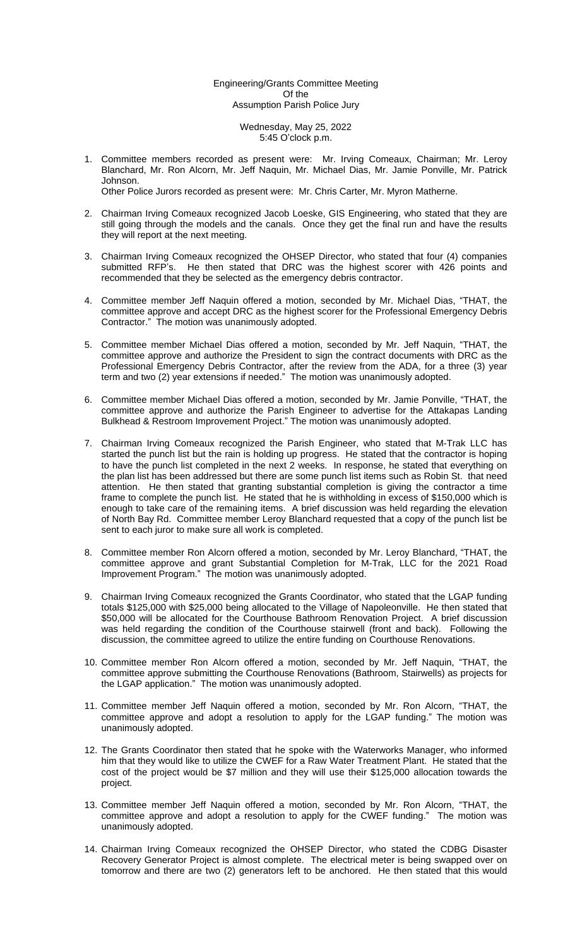# Engineering/Grants Committee Meeting Of the Assumption Parish Police Jury

Wednesday, May 25, 2022 5:45 O'clock p.m.

1. Committee members recorded as present were: Mr. Irving Comeaux, Chairman; Mr. Leroy Blanchard, Mr. Ron Alcorn, Mr. Jeff Naquin, Mr. Michael Dias, Mr. Jamie Ponville, Mr. Patrick Johnson.

Other Police Jurors recorded as present were: Mr. Chris Carter, Mr. Myron Matherne.

- 2. Chairman Irving Comeaux recognized Jacob Loeske, GIS Engineering, who stated that they are still going through the models and the canals. Once they get the final run and have the results they will report at the next meeting.
- 3. Chairman Irving Comeaux recognized the OHSEP Director, who stated that four (4) companies submitted RFP's. He then stated that DRC was the highest scorer with 426 points and recommended that they be selected as the emergency debris contractor.
- 4. Committee member Jeff Naquin offered a motion, seconded by Mr. Michael Dias, "THAT, the committee approve and accept DRC as the highest scorer for the Professional Emergency Debris Contractor." The motion was unanimously adopted.
- 5. Committee member Michael Dias offered a motion, seconded by Mr. Jeff Naquin, "THAT, the committee approve and authorize the President to sign the contract documents with DRC as the Professional Emergency Debris Contractor, after the review from the ADA, for a three (3) year term and two (2) year extensions if needed." The motion was unanimously adopted.
- 6. Committee member Michael Dias offered a motion, seconded by Mr. Jamie Ponville, "THAT, the committee approve and authorize the Parish Engineer to advertise for the Attakapas Landing Bulkhead & Restroom Improvement Project." The motion was unanimously adopted.
- 7. Chairman Irving Comeaux recognized the Parish Engineer, who stated that M-Trak LLC has started the punch list but the rain is holding up progress. He stated that the contractor is hoping to have the punch list completed in the next 2 weeks. In response, he stated that everything on the plan list has been addressed but there are some punch list items such as Robin St. that need attention. He then stated that granting substantial completion is giving the contractor a time frame to complete the punch list. He stated that he is withholding in excess of \$150,000 which is enough to take care of the remaining items. A brief discussion was held regarding the elevation of North Bay Rd. Committee member Leroy Blanchard requested that a copy of the punch list be sent to each juror to make sure all work is completed.
- 8. Committee member Ron Alcorn offered a motion, seconded by Mr. Leroy Blanchard, "THAT, the committee approve and grant Substantial Completion for M-Trak, LLC for the 2021 Road Improvement Program." The motion was unanimously adopted.
- 9. Chairman Irving Comeaux recognized the Grants Coordinator, who stated that the LGAP funding totals \$125,000 with \$25,000 being allocated to the Village of Napoleonville. He then stated that \$50,000 will be allocated for the Courthouse Bathroom Renovation Project. A brief discussion was held regarding the condition of the Courthouse stairwell (front and back). Following the discussion, the committee agreed to utilize the entire funding on Courthouse Renovations.
- 10. Committee member Ron Alcorn offered a motion, seconded by Mr. Jeff Naquin, "THAT, the committee approve submitting the Courthouse Renovations (Bathroom, Stairwells) as projects for the LGAP application." The motion was unanimously adopted.
- 11. Committee member Jeff Naquin offered a motion, seconded by Mr. Ron Alcorn, "THAT, the committee approve and adopt a resolution to apply for the LGAP funding." The motion was unanimously adopted.
- 12. The Grants Coordinator then stated that he spoke with the Waterworks Manager, who informed him that they would like to utilize the CWEF for a Raw Water Treatment Plant. He stated that the cost of the project would be \$7 million and they will use their \$125,000 allocation towards the project.
- 13. Committee member Jeff Naquin offered a motion, seconded by Mr. Ron Alcorn, "THAT, the committee approve and adopt a resolution to apply for the CWEF funding." The motion was unanimously adopted.
- 14. Chairman Irving Comeaux recognized the OHSEP Director, who stated the CDBG Disaster Recovery Generator Project is almost complete. The electrical meter is being swapped over on tomorrow and there are two (2) generators left to be anchored. He then stated that this would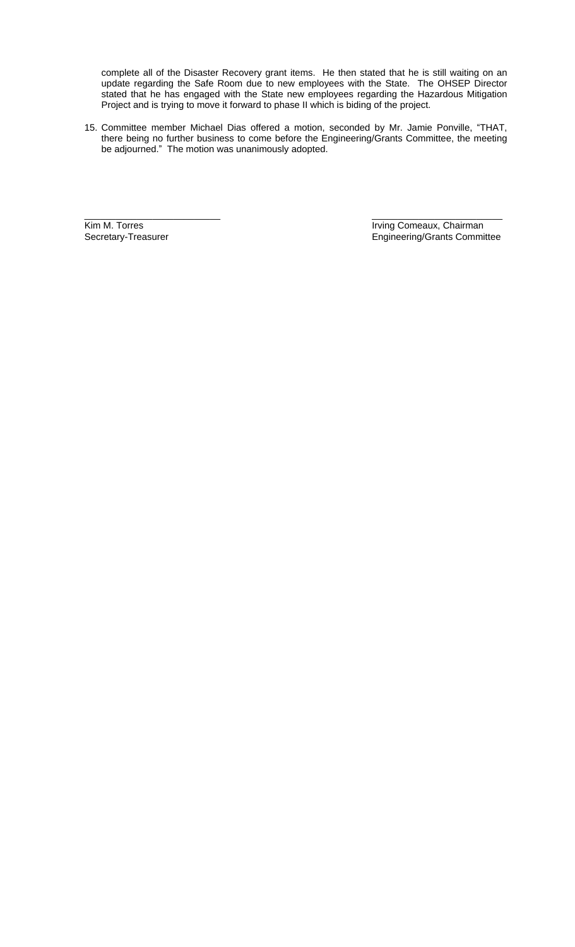complete all of the Disaster Recovery grant items. He then stated that he is still waiting on an update regarding the Safe Room due to new employees with the State. The OHSEP Director stated that he has engaged with the State new employees regarding the Hazardous Mitigation Project and is trying to move it forward to phase II which is biding of the project.

15. Committee member Michael Dias offered a motion, seconded by Mr. Jamie Ponville, "THAT, there being no further business to come before the Engineering/Grants Committee, the meeting be adjourned." The motion was unanimously adopted.

\_\_\_\_\_\_\_\_\_\_\_\_\_\_\_\_\_\_\_\_\_\_\_\_\_\_ \_\_\_\_\_\_\_\_\_\_\_\_\_\_\_\_\_\_\_\_\_\_\_\_\_ Fram M. Torres Transaction Community Comeaux, Chairman Secretary-Treasurer Community Community Community Community Community Community Community Community Community Community Community Community Community Community Communi Engineering/Grants Committee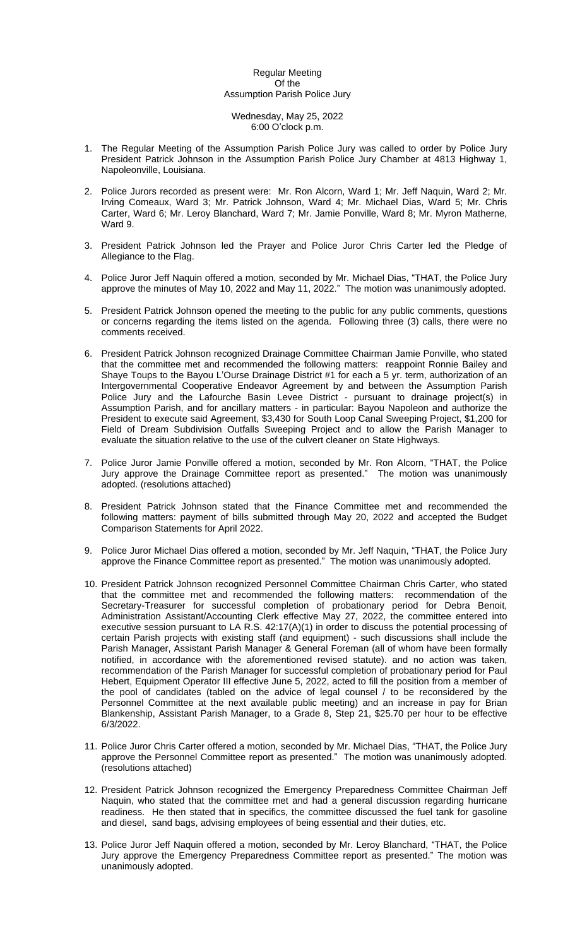#### Regular Meeting Of the Assumption Parish Police Jury

#### Wednesday, May 25, 2022 6:00 O'clock p.m.

- 1. The Regular Meeting of the Assumption Parish Police Jury was called to order by Police Jury President Patrick Johnson in the Assumption Parish Police Jury Chamber at 4813 Highway 1, Napoleonville, Louisiana.
- 2. Police Jurors recorded as present were: Mr. Ron Alcorn, Ward 1; Mr. Jeff Naquin, Ward 2; Mr. Irving Comeaux, Ward 3; Mr. Patrick Johnson, Ward 4; Mr. Michael Dias, Ward 5; Mr. Chris Carter, Ward 6; Mr. Leroy Blanchard, Ward 7; Mr. Jamie Ponville, Ward 8; Mr. Myron Matherne, Ward 9.
- 3. President Patrick Johnson led the Prayer and Police Juror Chris Carter led the Pledge of Allegiance to the Flag.
- 4. Police Juror Jeff Naquin offered a motion, seconded by Mr. Michael Dias, "THAT, the Police Jury approve the minutes of May 10, 2022 and May 11, 2022." The motion was unanimously adopted.
- 5. President Patrick Johnson opened the meeting to the public for any public comments, questions or concerns regarding the items listed on the agenda. Following three (3) calls, there were no comments received.
- 6. President Patrick Johnson recognized Drainage Committee Chairman Jamie Ponville, who stated that the committee met and recommended the following matters: reappoint Ronnie Bailey and Shaye Toups to the Bayou L'Ourse Drainage District #1 for each a 5 yr. term, authorization of an Intergovernmental Cooperative Endeavor Agreement by and between the Assumption Parish Police Jury and the Lafourche Basin Levee District - pursuant to drainage project(s) in Assumption Parish, and for ancillary matters - in particular: Bayou Napoleon and authorize the President to execute said Agreement, \$3,430 for South Loop Canal Sweeping Project, \$1,200 for Field of Dream Subdivision Outfalls Sweeping Project and to allow the Parish Manager to evaluate the situation relative to the use of the culvert cleaner on State Highways.
- 7. Police Juror Jamie Ponville offered a motion, seconded by Mr. Ron Alcorn, "THAT, the Police Jury approve the Drainage Committee report as presented." The motion was unanimously adopted. (resolutions attached)
- 8. President Patrick Johnson stated that the Finance Committee met and recommended the following matters: payment of bills submitted through May 20, 2022 and accepted the Budget Comparison Statements for April 2022.
- 9. Police Juror Michael Dias offered a motion, seconded by Mr. Jeff Naquin, "THAT, the Police Jury approve the Finance Committee report as presented." The motion was unanimously adopted.
- 10. President Patrick Johnson recognized Personnel Committee Chairman Chris Carter, who stated that the committee met and recommended the following matters: recommendation of the Secretary-Treasurer for successful completion of probationary period for Debra Benoit, Administration Assistant/Accounting Clerk effective May 27, 2022, the committee entered into executive session pursuant to LA R.S. 42:17(A)(1) in order to discuss the potential processing of certain Parish projects with existing staff (and equipment) - such discussions shall include the Parish Manager, Assistant Parish Manager & General Foreman (all of whom have been formally notified, in accordance with the aforementioned revised statute). and no action was taken, recommendation of the Parish Manager for successful completion of probationary period for Paul Hebert, Equipment Operator III effective June 5, 2022, acted to fill the position from a member of the pool of candidates (tabled on the advice of legal counsel / to be reconsidered by the Personnel Committee at the next available public meeting) and an increase in pay for Brian Blankenship, Assistant Parish Manager, to a Grade 8, Step 21, \$25.70 per hour to be effective 6/3/2022.
- 11. Police Juror Chris Carter offered a motion, seconded by Mr. Michael Dias, "THAT, the Police Jury approve the Personnel Committee report as presented." The motion was unanimously adopted. (resolutions attached)
- 12. President Patrick Johnson recognized the Emergency Preparedness Committee Chairman Jeff Naquin, who stated that the committee met and had a general discussion regarding hurricane readiness. He then stated that in specifics, the committee discussed the fuel tank for gasoline and diesel, sand bags, advising employees of being essential and their duties, etc.
- 13. Police Juror Jeff Naquin offered a motion, seconded by Mr. Leroy Blanchard, "THAT, the Police Jury approve the Emergency Preparedness Committee report as presented." The motion was unanimously adopted.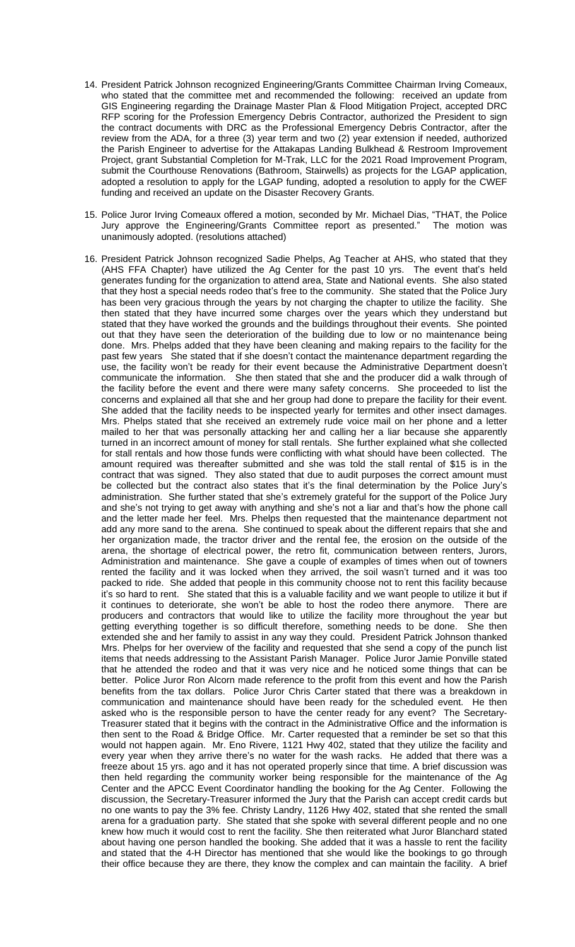- 14. President Patrick Johnson recognized Engineering/Grants Committee Chairman Irving Comeaux, who stated that the committee met and recommended the following: received an update from GIS Engineering regarding the Drainage Master Plan & Flood Mitigation Project, accepted DRC RFP scoring for the Profession Emergency Debris Contractor, authorized the President to sign the contract documents with DRC as the Professional Emergency Debris Contractor, after the review from the ADA, for a three (3) year term and two (2) year extension if needed, authorized the Parish Engineer to advertise for the Attakapas Landing Bulkhead & Restroom Improvement Project, grant Substantial Completion for M-Trak, LLC for the 2021 Road Improvement Program, submit the Courthouse Renovations (Bathroom, Stairwells) as projects for the LGAP application, adopted a resolution to apply for the LGAP funding, adopted a resolution to apply for the CWEF funding and received an update on the Disaster Recovery Grants.
- 15. Police Juror Irving Comeaux offered a motion, seconded by Mr. Michael Dias, "THAT, the Police Jury approve the Engineering/Grants Committee report as presented." The motion was unanimously adopted. (resolutions attached)
- 16. President Patrick Johnson recognized Sadie Phelps, Ag Teacher at AHS, who stated that they (AHS FFA Chapter) have utilized the Ag Center for the past 10 yrs. The event that's held generates funding for the organization to attend area, State and National events. She also stated that they host a special needs rodeo that's free to the community. She stated that the Police Jury has been very gracious through the years by not charging the chapter to utilize the facility. She then stated that they have incurred some charges over the years which they understand but stated that they have worked the grounds and the buildings throughout their events. She pointed out that they have seen the deterioration of the building due to low or no maintenance being done. Mrs. Phelps added that they have been cleaning and making repairs to the facility for the past few years She stated that if she doesn't contact the maintenance department regarding the use, the facility won't be ready for their event because the Administrative Department doesn't communicate the information. She then stated that she and the producer did a walk through of the facility before the event and there were many safety concerns. She proceeded to list the concerns and explained all that she and her group had done to prepare the facility for their event. She added that the facility needs to be inspected yearly for termites and other insect damages. Mrs. Phelps stated that she received an extremely rude voice mail on her phone and a letter mailed to her that was personally attacking her and calling her a liar because she apparently turned in an incorrect amount of money for stall rentals. She further explained what she collected for stall rentals and how those funds were conflicting with what should have been collected. The amount required was thereafter submitted and she was told the stall rental of \$15 is in the contract that was signed. They also stated that due to audit purposes the correct amount must be collected but the contract also states that it's the final determination by the Police Jury's administration. She further stated that she's extremely grateful for the support of the Police Jury and she's not trying to get away with anything and she's not a liar and that's how the phone call and the letter made her feel. Mrs. Phelps then requested that the maintenance department not add any more sand to the arena. She continued to speak about the different repairs that she and her organization made, the tractor driver and the rental fee, the erosion on the outside of the arena, the shortage of electrical power, the retro fit, communication between renters, Jurors, Administration and maintenance. She gave a couple of examples of times when out of towners rented the facility and it was locked when they arrived, the soil wasn't turned and it was too packed to ride. She added that people in this community choose not to rent this facility because it's so hard to rent. She stated that this is a valuable facility and we want people to utilize it but if it continues to deteriorate, she won't be able to host the rodeo there anymore. There are producers and contractors that would like to utilize the facility more throughout the year but getting everything together is so difficult therefore, something needs to be done. She then extended she and her family to assist in any way they could. President Patrick Johnson thanked Mrs. Phelps for her overview of the facility and requested that she send a copy of the punch list items that needs addressing to the Assistant Parish Manager. Police Juror Jamie Ponville stated that he attended the rodeo and that it was very nice and he noticed some things that can be better. Police Juror Ron Alcorn made reference to the profit from this event and how the Parish benefits from the tax dollars. Police Juror Chris Carter stated that there was a breakdown in communication and maintenance should have been ready for the scheduled event. He then asked who is the responsible person to have the center ready for any event? The Secretary-Treasurer stated that it begins with the contract in the Administrative Office and the information is then sent to the Road & Bridge Office. Mr. Carter requested that a reminder be set so that this would not happen again. Mr. Eno Rivere, 1121 Hwy 402, stated that they utilize the facility and every year when they arrive there's no water for the wash racks. He added that there was a freeze about 15 yrs. ago and it has not operated properly since that time. A brief discussion was then held regarding the community worker being responsible for the maintenance of the Ag Center and the APCC Event Coordinator handling the booking for the Ag Center. Following the discussion, the Secretary-Treasurer informed the Jury that the Parish can accept credit cards but no one wants to pay the 3% fee. Christy Landry, 1126 Hwy 402, stated that she rented the small arena for a graduation party. She stated that she spoke with several different people and no one knew how much it would cost to rent the facility. She then reiterated what Juror Blanchard stated about having one person handled the booking. She added that it was a hassle to rent the facility and stated that the 4-H Director has mentioned that she would like the bookings to go through their office because they are there, they know the complex and can maintain the facility. A brief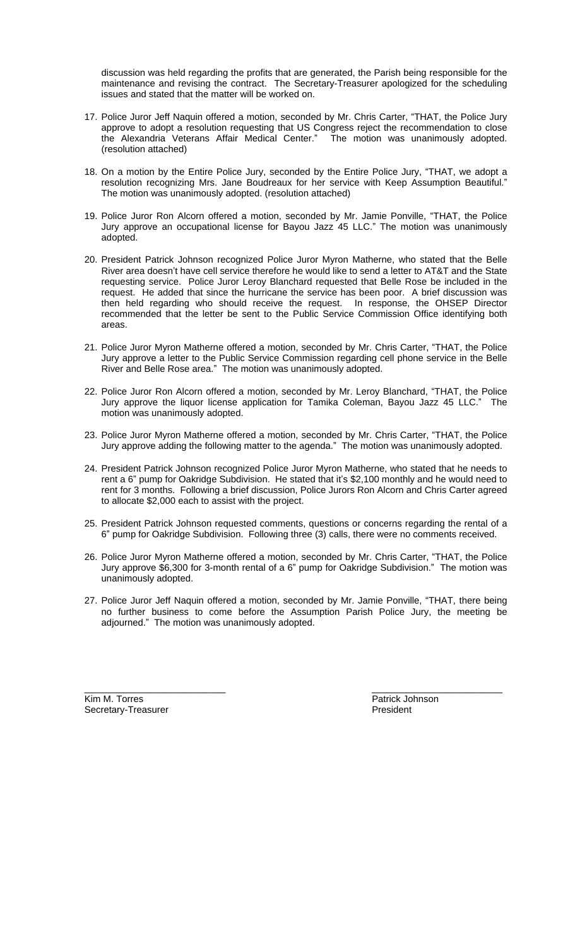discussion was held regarding the profits that are generated, the Parish being responsible for the maintenance and revising the contract. The Secretary-Treasurer apologized for the scheduling issues and stated that the matter will be worked on.

- 17. Police Juror Jeff Naquin offered a motion, seconded by Mr. Chris Carter, "THAT, the Police Jury approve to adopt a resolution requesting that US Congress reject the recommendation to close the Alexandria Veterans Affair Medical Center." The motion was unanimously adopted. (resolution attached)
- 18. On a motion by the Entire Police Jury, seconded by the Entire Police Jury, "THAT, we adopt a resolution recognizing Mrs. Jane Boudreaux for her service with Keep Assumption Beautiful." The motion was unanimously adopted. (resolution attached)
- 19. Police Juror Ron Alcorn offered a motion, seconded by Mr. Jamie Ponville, "THAT, the Police Jury approve an occupational license for Bayou Jazz 45 LLC." The motion was unanimously adopted.
- 20. President Patrick Johnson recognized Police Juror Myron Matherne, who stated that the Belle River area doesn't have cell service therefore he would like to send a letter to AT&T and the State requesting service. Police Juror Leroy Blanchard requested that Belle Rose be included in the request. He added that since the hurricane the service has been poor. A brief discussion was then held regarding who should receive the request. In response, the OHSEP Director recommended that the letter be sent to the Public Service Commission Office identifying both areas.
- 21. Police Juror Myron Matherne offered a motion, seconded by Mr. Chris Carter, "THAT, the Police Jury approve a letter to the Public Service Commission regarding cell phone service in the Belle River and Belle Rose area." The motion was unanimously adopted.
- 22. Police Juror Ron Alcorn offered a motion, seconded by Mr. Leroy Blanchard, "THAT, the Police Jury approve the liquor license application for Tamika Coleman, Bayou Jazz 45 LLC." The motion was unanimously adopted.
- 23. Police Juror Myron Matherne offered a motion, seconded by Mr. Chris Carter, "THAT, the Police Jury approve adding the following matter to the agenda." The motion was unanimously adopted.
- 24. President Patrick Johnson recognized Police Juror Myron Matherne, who stated that he needs to rent a 6" pump for Oakridge Subdivision. He stated that it's \$2,100 monthly and he would need to rent for 3 months. Following a brief discussion, Police Jurors Ron Alcorn and Chris Carter agreed to allocate \$2,000 each to assist with the project.
- 25. President Patrick Johnson requested comments, questions or concerns regarding the rental of a 6" pump for Oakridge Subdivision. Following three (3) calls, there were no comments received.
- 26. Police Juror Myron Matherne offered a motion, seconded by Mr. Chris Carter, "THAT, the Police Jury approve \$6,300 for 3-month rental of a 6" pump for Oakridge Subdivision." The motion was unanimously adopted.
- 27. Police Juror Jeff Naquin offered a motion, seconded by Mr. Jamie Ponville, "THAT, there being no further business to come before the Assumption Parish Police Jury, the meeting be adjourned." The motion was unanimously adopted.

 $\frac{1}{2}$  , the contribution of the contribution of the contribution of the contribution of the contribution of the contribution of the contribution of the contribution of the contribution of the contribution of the contr

Kim M. Torres **Patrick Johnson** Secretary-Treasurer **President** President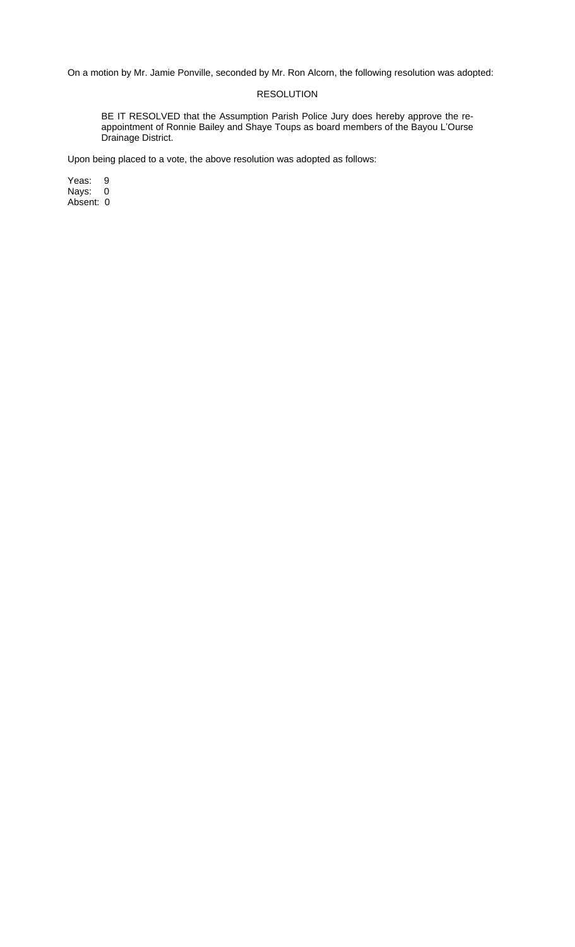On a motion by Mr. Jamie Ponville, seconded by Mr. Ron Alcorn, the following resolution was adopted:

### RESOLUTION

BE IT RESOLVED that the Assumption Parish Police Jury does hereby approve the reappointment of Ronnie Bailey and Shaye Toups as board members of the Bayou L'Ourse Drainage District.

Upon being placed to a vote, the above resolution was adopted as follows: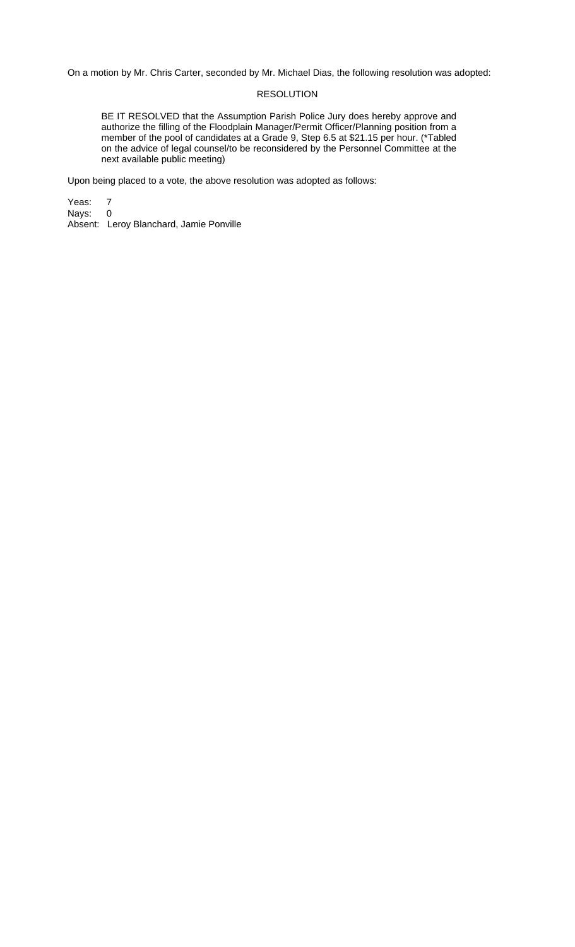### RESOLUTION

BE IT RESOLVED that the Assumption Parish Police Jury does hereby approve and authorize the filling of the Floodplain Manager/Permit Officer/Planning position from a member of the pool of candidates at a Grade 9, Step 6.5 at \$21.15 per hour. (\*Tabled on the advice of legal counsel/to be reconsidered by the Personnel Committee at the next available public meeting)

Upon being placed to a vote, the above resolution was adopted as follows:

Yeas: 7<br>Nays: 0 Nays: Absent: Leroy Blanchard, Jamie Ponville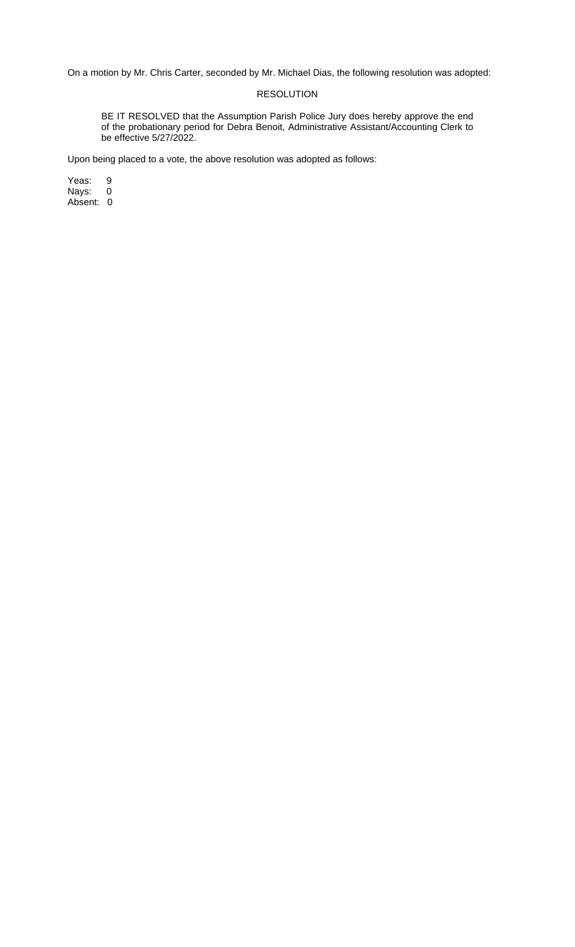# RESOLUTION

BE IT RESOLVED that the Assumption Parish Police Jury does hereby approve the end of the probationary period for Debra Benoit, Administrative Assistant/Accounting Clerk to be effective 5/27/2022.

Upon being placed to a vote, the above resolution was adopted as follows: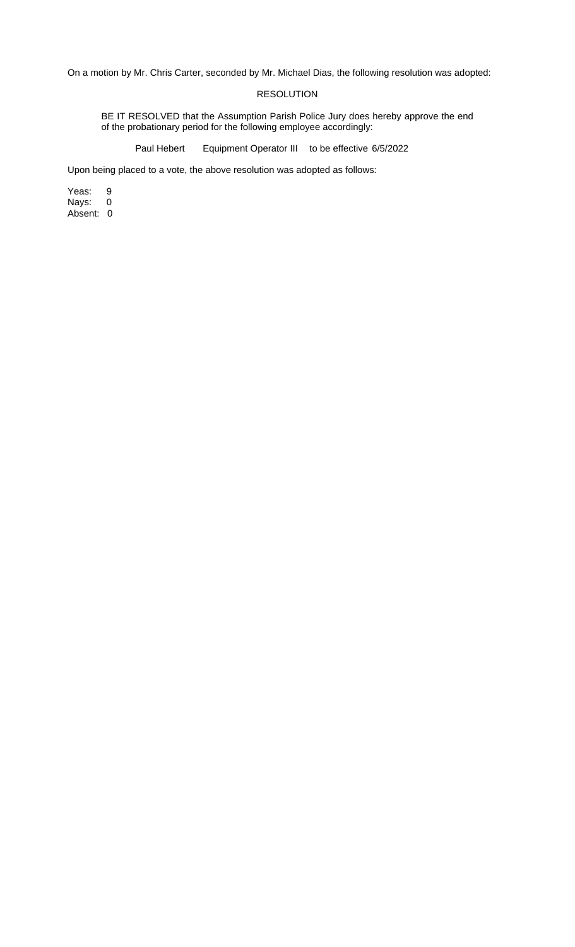# RESOLUTION

BE IT RESOLVED that the Assumption Parish Police Jury does hereby approve the end of the probationary period for the following employee accordingly:

Paul Hebert Equipment Operator III to be effective 6/5/2022

Upon being placed to a vote, the above resolution was adopted as follows: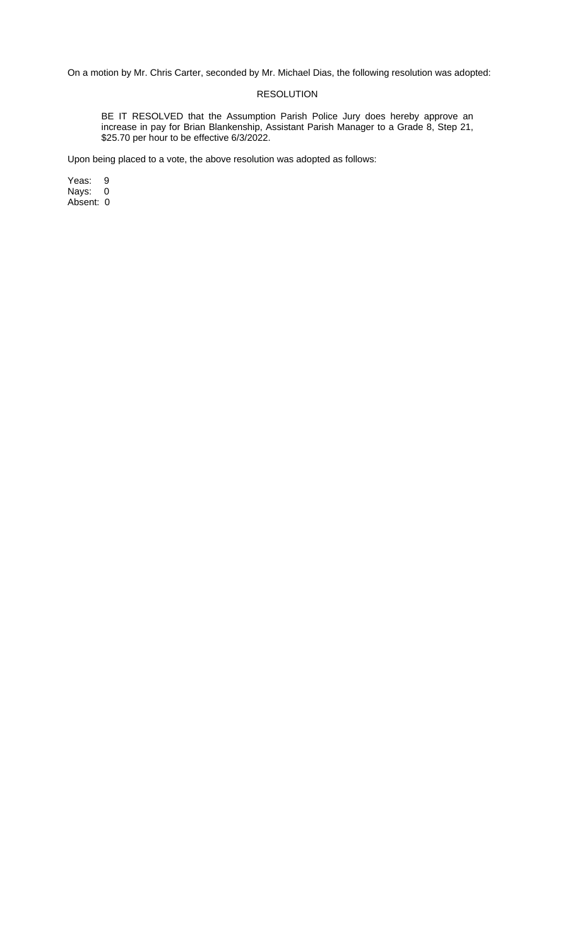# RESOLUTION

BE IT RESOLVED that the Assumption Parish Police Jury does hereby approve an increase in pay for Brian Blankenship, Assistant Parish Manager to a Grade 8, Step 21, \$25.70 per hour to be effective 6/3/2022.

Upon being placed to a vote, the above resolution was adopted as follows: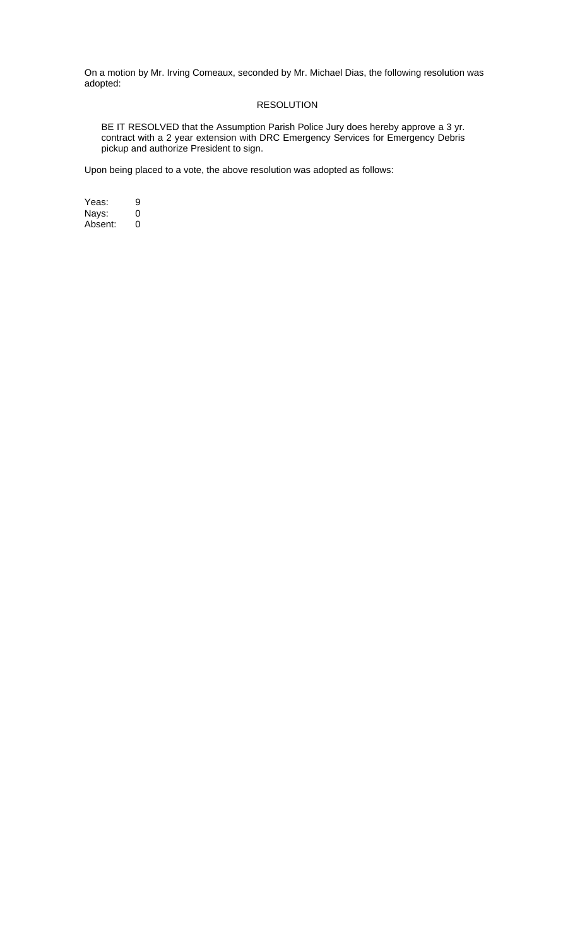#### RESOLUTION

BE IT RESOLVED that the Assumption Parish Police Jury does hereby approve a 3 yr. contract with a 2 year extension with DRC Emergency Services for Emergency Debris pickup and authorize President to sign.

Upon being placed to a vote, the above resolution was adopted as follows: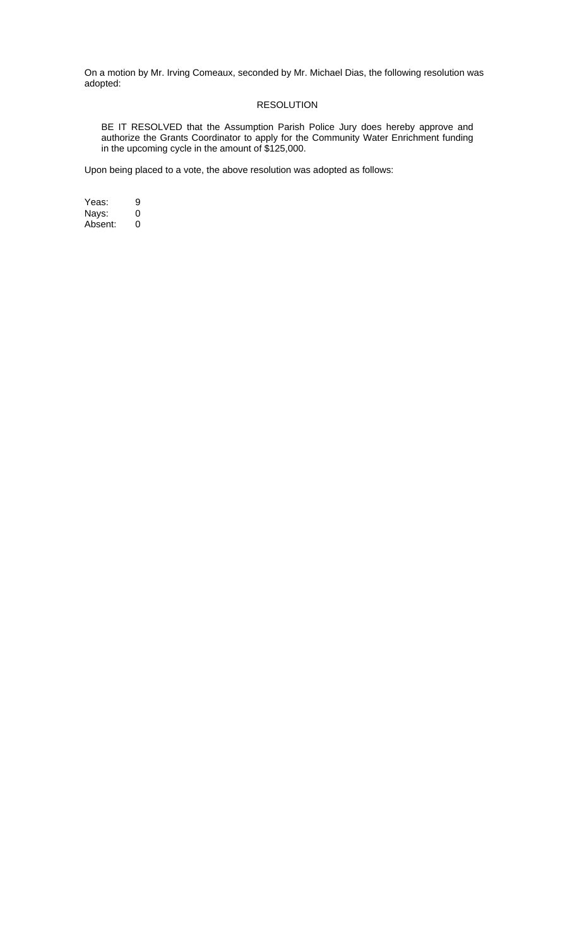#### RESOLUTION

BE IT RESOLVED that the Assumption Parish Police Jury does hereby approve and authorize the Grants Coordinator to apply for the Community Water Enrichment funding in the upcoming cycle in the amount of \$125,000.

Upon being placed to a vote, the above resolution was adopted as follows: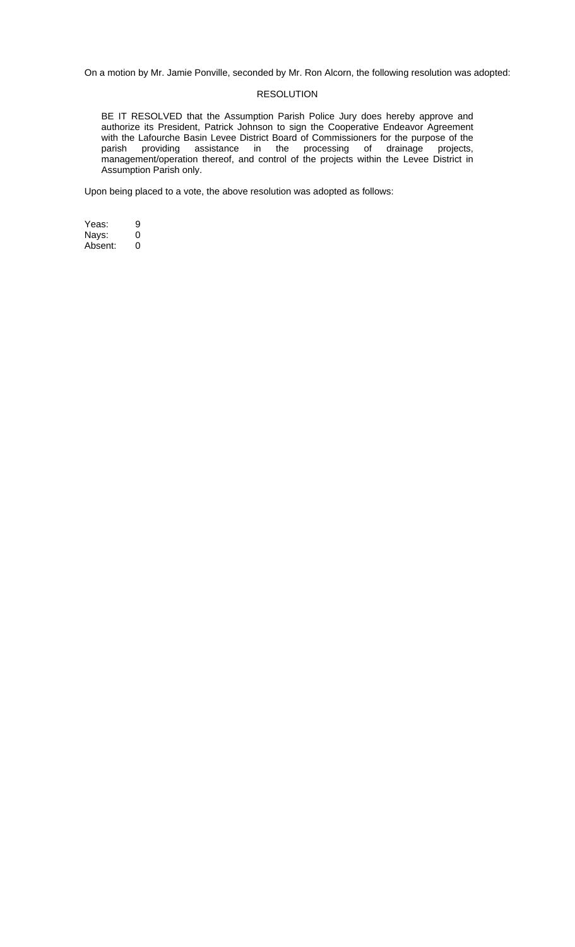On a motion by Mr. Jamie Ponville, seconded by Mr. Ron Alcorn, the following resolution was adopted:

#### RESOLUTION

BE IT RESOLVED that the Assumption Parish Police Jury does hereby approve and authorize its President, Patrick Johnson to sign the Cooperative Endeavor Agreement with the Lafourche Basin Levee District Board of Commissioners for the purpose of the parish providing assistance in the processing of drainage projects, management/operation thereof, and control of the projects within the Levee District in Assumption Parish only.

Upon being placed to a vote, the above resolution was adopted as follows: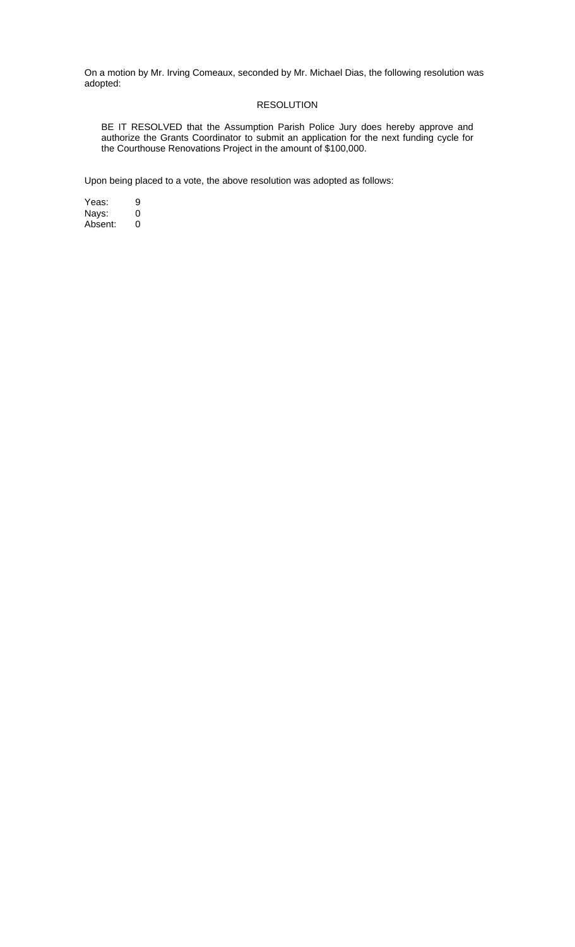#### RESOLUTION

BE IT RESOLVED that the Assumption Parish Police Jury does hereby approve and authorize the Grants Coordinator to submit an application for the next funding cycle for the Courthouse Renovations Project in the amount of \$100,000.

Upon being placed to a vote, the above resolution was adopted as follows: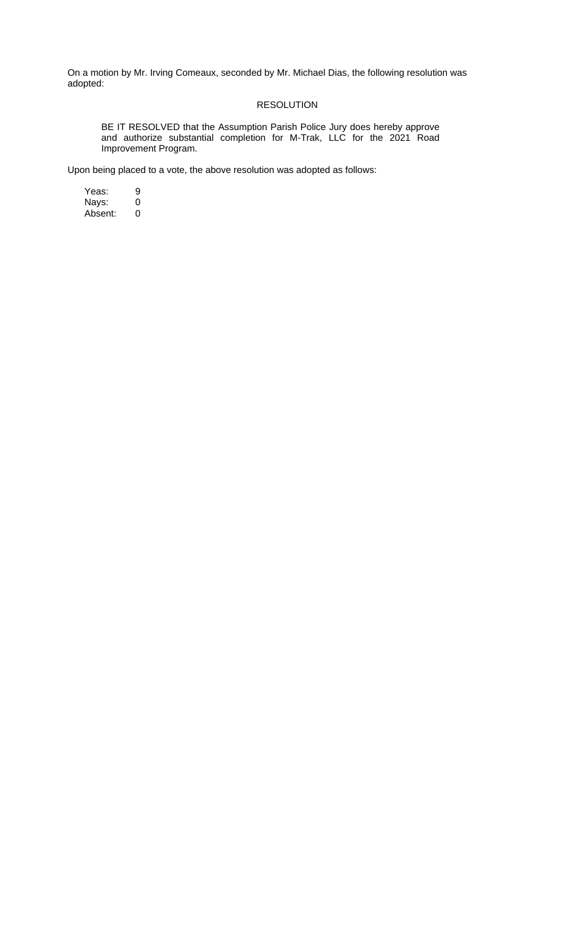# RESOLUTION

BE IT RESOLVED that the Assumption Parish Police Jury does hereby approve and authorize substantial completion for M-Trak, LLC for the 2021 Road Improvement Program.

Upon being placed to a vote, the above resolution was adopted as follows:

Yeas: 9<br>Nays: 0 Nays: 0 Absent: 0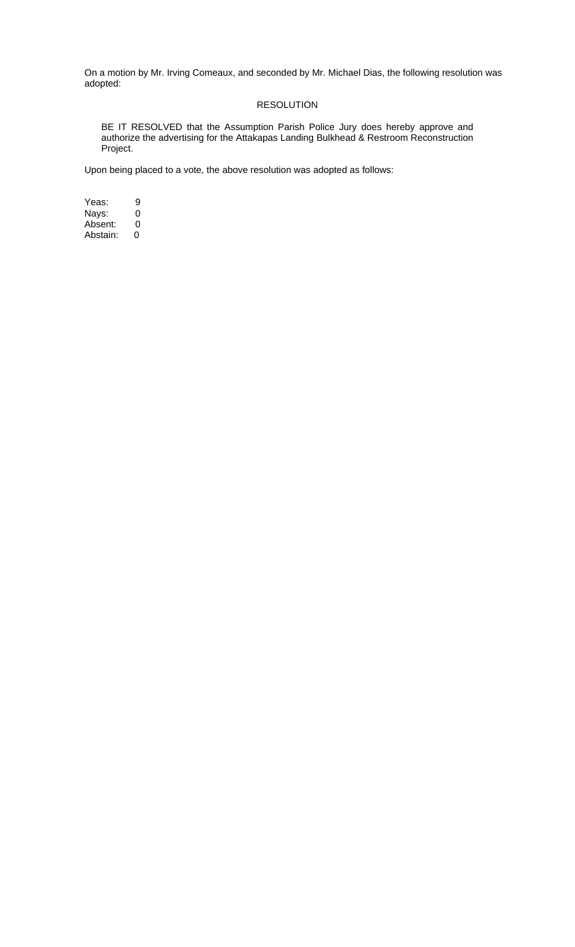# RESOLUTION

BE IT RESOLVED that the Assumption Parish Police Jury does hereby approve and authorize the advertising for the Attakapas Landing Bulkhead & Restroom Reconstruction Project.

Upon being placed to a vote, the above resolution was adopted as follows:

Yeas: 9<br>Nays: 0 Nays: 0<br>Absent: 0 Absent: 0<br>Abstain: 0 Abstain: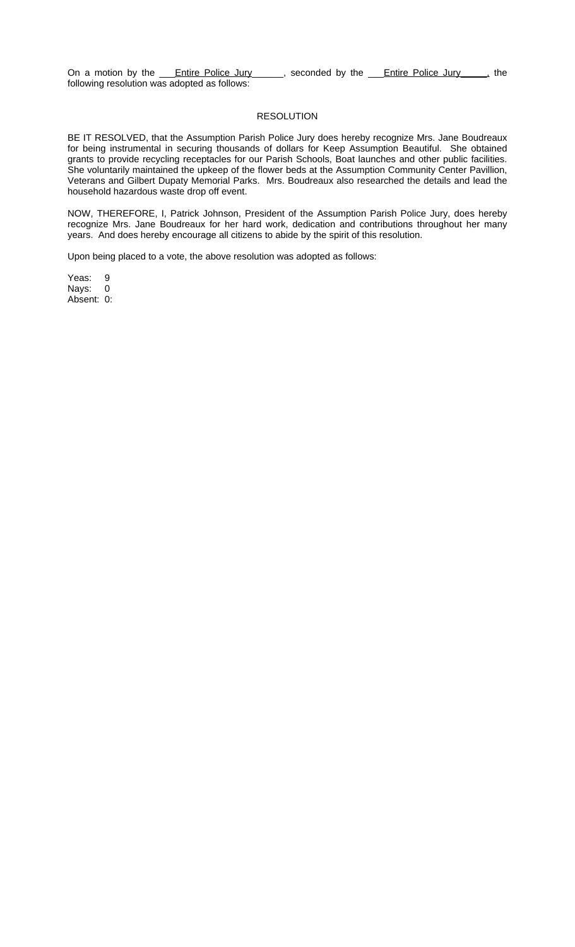On a motion by the <u>Fntire Police Jury</u> econded by the Folice Police Jury, the following resolution was adopted as follows:

#### RESOLUTION

BE IT RESOLVED, that the Assumption Parish Police Jury does hereby recognize Mrs. Jane Boudreaux for being instrumental in securing thousands of dollars for Keep Assumption Beautiful. She obtained grants to provide recycling receptacles for our Parish Schools, Boat launches and other public facilities. She voluntarily maintained the upkeep of the flower beds at the Assumption Community Center Pavillion, Veterans and Gilbert Dupaty Memorial Parks. Mrs. Boudreaux also researched the details and lead the household hazardous waste drop off event.

NOW, THEREFORE, I, Patrick Johnson, President of the Assumption Parish Police Jury, does hereby recognize Mrs. Jane Boudreaux for her hard work, dedication and contributions throughout her many years. And does hereby encourage all citizens to abide by the spirit of this resolution.

Upon being placed to a vote, the above resolution was adopted as follows: